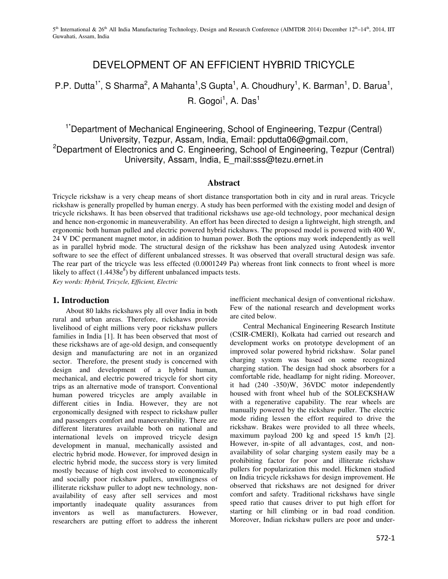# DEVELOPMENT OF AN EFFICIENT HYBRID TRICYCLE

## P.P. Dutta<sup>1\*</sup>, S Sharma<sup>2</sup>, A Mahanta<sup>1</sup>, S Gupta<sup>1</sup>, A. Choudhury<sup>1</sup>, K. Barman<sup>1</sup>, D. Barua<sup>1</sup>,

R. Gogoi<sup>1</sup>, A. Das<sup>1</sup>

<sup>1\*</sup>Department of Mechanical Engineering, School of Engineering, Tezpur (Central) University, Tezpur, Assam, India, Email: ppdutta06@gmail.com, <sup>2</sup>Department of Electronics and C. Engineering, School of Engineering, Tezpur (Central) University, Assam, India, E\_mail:sss@tezu.ernet.in

#### **Abstract**

Tricycle rickshaw is a very cheap means of short distance transportation both in city and in rural areas. Tricycle rickshaw is generally propelled by human energy. A study has been performed with the existing model and design of tricycle rickshaws. It has been observed that traditional rickshaws use age-old technology, poor mechanical design and hence non-ergonomic in maneuverability. An effort has been directed to design a lightweight, high strength, and ergonomic both human pulled and electric powered hybrid rickshaws. The proposed model is powered with 400 W, 24 V DC permanent magnet motor, in addition to human power. Both the options may work independently as well as in parallel hybrid mode. The structural design of the rickshaw has been analyzed using Autodesk inventor software to see the effect of different unbalanced stresses. It was observed that overall structural design was safe. The rear part of the tricycle was less effected (0.0001249 Pa) whereas front link connects to front wheel is more likely to affect  $(1.4438e^8)$  by different unbalanced impacts tests.

*Key words: Hybrid, Tricycle, Efficient, Electric* 

## **1. Introduction**

About 80 lakhs rickshaws ply all over India in both rural and urban areas. Therefore, rickshaws provide livelihood of eight millions very poor rickshaw pullers families in India [1]. It has been observed that most of these rickshaws are of age-old design, and consequently design and manufacturing are not in an organized sector. Therefore, the present study is concerned with design and development of a hybrid human, mechanical, and electric powered tricycle for short city trips as an alternative mode of transport. Conventional human powered tricycles are amply available in different cities in India. However, they are not ergonomically designed with respect to rickshaw puller and passengers comfort and maneuverability. There are different literatures available both on national and international levels on improved tricycle design development in manual, mechanically assisted and electric hybrid mode. However, for improved design in electric hybrid mode, the success story is very limited mostly because of high cost involved to economically and socially poor rickshaw pullers, unwillingness of illiterate rickshaw puller to adopt new technology, nonavailability of easy after sell services and most importantly inadequate quality assurances from inventors as well as manufacturers. However, researchers are putting effort to address the inherent

inefficient mechanical design of conventional rickshaw. Few of the national research and development works are cited below.

Central Mechanical Engineering Research Institute (CSIR-CMERI), Kolkata had carried out research and development works on prototype development of an improved solar powered hybrid rickshaw. Solar panel charging system was based on some recognized charging station. The design had shock absorbers for a comfortable ride, headlamp for night riding. Moreover, it had (240 -350)W, 36VDC motor independently housed with front wheel hub of the SOLECKSHAW with a regenerative capability. The rear wheels are manually powered by the rickshaw puller. The electric mode riding lessen the effort required to drive the rickshaw. Brakes were provided to all three wheels, maximum payload 200 kg and speed 15 km/h [2]. However, in-spite of all advantages, cost, and nonavailability of solar charging system easily may be a prohibiting factor for poor and illiterate rickshaw pullers for popularization this model. Hickmen studied on India tricycle rickshaws for design improvement. He observed that rickshaws are not designed for driver comfort and safety. Traditional rickshaws have single speed ratio that causes driver to put high effort for starting or hill climbing or in bad road condition. Moreover, Indian rickshaw pullers are poor and under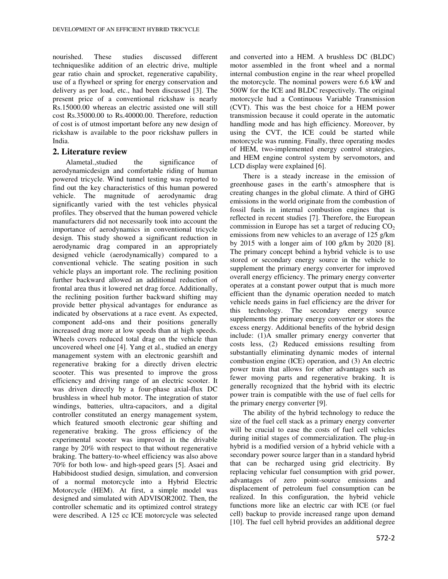nourished. These studies discussed different techniqueslike addition of an electric drive, multiple gear ratio chain and sprocket, regenerative capability, use of a flywheel or spring for energy conservation and delivery as per load, etc., had been discussed [3]. The present price of a conventional rickshaw is nearly Rs.15000.00 whereas an electric assisted one will still cost Rs.35000.00 to Rs.40000.00. Therefore, reduction of cost is of utmost important before any new design of rickshaw is available to the poor rickshaw pullers in India.

#### **2. Literature review**

Alametal.,studied the significance of aerodynamicdesign and comfortable riding of human powered tricycle. Wind tunnel testing was reported to find out the key characteristics of this human powered vehicle. The magnitude of aerodynamic drag significantly varied with the test vehicles physical profiles. They observed that the human powered vehicle manufacturers did not necessarily took into account the importance of aerodynamics in conventional tricycle design. This study showed a significant reduction in aerodynamic drag compared in an appropriately designed vehicle (aerodynamically) compared to a conventional vehicle. The seating position in such vehicle plays an important role. The reclining position further backward allowed an additional reduction of frontal area thus it lowered net drag force. Additionally, the reclining position further backward shifting may provide better physical advantages for endurance as indicated by observations at a race event. As expected, component add-ons and their positions generally increased drag more at low speeds than at high speeds. Wheels covers reduced total drag on the vehicle than uncovered wheel one [4]. Yang et al., studied an energy management system with an electronic gearshift and regenerative braking for a directly driven electric scooter. This was presented to improve the gross efficiency and driving range of an electric scooter. It was driven directly by a four-phase axial-flux DC brushless in wheel hub motor. The integration of stator windings, batteries, ultra-capacitors, and a digital controller constituted an energy management system, which featured smooth electronic gear shifting and regenerative braking. The gross efficiency of the experimental scooter was improved in the drivable range by 20% with respect to that without regenerative braking. The battery-to-wheel efficiency was also above 70% for both low- and high-speed gears [5]. Asaei and Habibidoost studied design, simulation, and conversion of a normal motorcycle into a Hybrid Electric Motorcycle (HEM). At first, a simple model was designed and simulated with ADVISOR2002. Then, the controller schematic and its optimized control strategy were described. A 125 cc ICE motorcycle was selected

and converted into a HEM. A brushless DC (BLDC) motor assembled in the front wheel and a normal internal combustion engine in the rear wheel propelled the motorcycle. The nominal powers were 6.6 kW and 500W for the ICE and BLDC respectively. The original motorcycle had a Continuous Variable Transmission (CVT). This was the best choice for a HEM power transmission because it could operate in the automatic handling mode and has high efficiency. Moreover, by using the CVT, the ICE could be started while motorcycle was running. Finally, three operating modes of HEM, two-implemented energy control strategies, and HEM engine control system by servomotors, and LCD display were explained [6].

There is a steady increase in the emission of greenhouse gases in the earth's atmosphere that is creating changes in the global climate. A third of GHG emissions in the world originate from the combustion of fossil fuels in internal combustion engines that is reflected in recent studies [7]. Therefore, the European commission in Europe has set a target of reducing  $CO<sub>2</sub>$ emissions from new vehicles to an average of 125 g/km by 2015 with a longer aim of 100 g/km by 2020 [8]. The primary concept behind a hybrid vehicle is to use stored or secondary energy source in the vehicle to supplement the primary energy converter for improved overall energy efficiency. The primary energy converter operates at a constant power output that is much more efficient than the dynamic operation needed to match vehicle needs gains in fuel efficiency are the driver for this technology. The secondary energy source supplements the primary energy converter or stores the excess energy. Additional benefits of the hybrid design include: (1)A smaller primary energy converter that costs less, (2) Reduced emissions resulting from substantially eliminating dynamic modes of internal combustion engine (ICE) operation, and (3) An electric power train that allows for other advantages such as fewer moving parts and regenerative braking. It is generally recognized that the hybrid with its electric power train is compatible with the use of fuel cells for the primary energy converter [9].

The ability of the hybrid technology to reduce the size of the fuel cell stack as a primary energy converter will be crucial to ease the costs of fuel cell vehicles during initial stages of commercialization. The plug-in hybrid is a modified version of a hybrid vehicle with a secondary power source larger than in a standard hybrid that can be recharged using grid electricity. By replacing vehicular fuel consumption with grid power, advantages of zero point-source emissions and displacement of petroleum fuel consumption can be realized. In this configuration, the hybrid vehicle functions more like an electric car with ICE (or fuel cell) backup to provide increased range upon demand [10]. The fuel cell hybrid provides an additional degree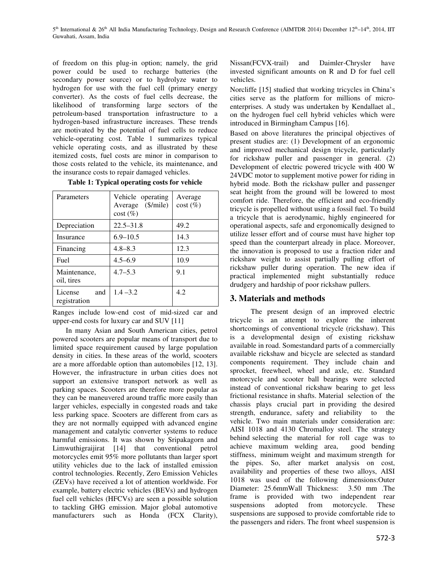of freedom on this plug-in option; namely, the grid power could be used to recharge batteries (the secondary power source) or to hydrolyze water to hydrogen for use with the fuel cell (primary energy converter). As the costs of fuel cells decrease, the likelihood of transforming large sectors of the petroleum-based transportation infrastructure to a hydrogen-based infrastructure increases. These trends are motivated by the potential of fuel cells to reduce vehicle-operating cost. Table 1 summarizes typical vehicle operating costs, and as illustrated by these itemized costs, fuel costs are minor in comparison to those costs related to the vehicle, its maintenance, and the insurance costs to repair damaged vehicles.

|  |  | Table 1: Typical operating costs for vehicle |  |  |
|--|--|----------------------------------------------|--|--|
|--|--|----------------------------------------------|--|--|

| Parameters                     | Vehicle operating<br>Average (\$/mile)<br>$cost(\%)$ | Average<br>$cost(\%)$ |
|--------------------------------|------------------------------------------------------|-----------------------|
| Depreciation                   | $22.5 - 31.8$                                        | 49.2                  |
| Insurance                      | $6.9 - 10.5$                                         | 14.3                  |
| Financing                      | $4.8 - 8.3$                                          | 12.3                  |
| Fuel                           | $4.5 - 6.9$                                          | 10.9                  |
| Maintenance,<br>oil, tires     | $4.7 - 5.3$                                          | 9.1                   |
| License<br>and<br>registration | $1.4 - 3.2$                                          | 4.2                   |

Ranges include low-end cost of mid-sized car and upper-end costs for luxury car and SUV [11]

In many Asian and South American cities, petrol powered scooters are popular means of transport due to limited space requirement caused by large population density in cities. In these areas of the world, scooters are a more affordable option than automobiles [12, 13]. However, the infrastructure in urban cities does not support an extensive transport network as well as parking spaces. Scooters are therefore more popular as they can be maneuvered around traffic more easily than larger vehicles, especially in congested roads and take less parking space. Scooters are different from cars as they are not normally equipped with advanced engine management and catalytic converter systems to reduce harmful emissions. It was shown by Sripakagorn and Limwuthigraijirat [14] that conventional petrol motorcycles emit 95% more pollutants than larger sport utility vehicles due to the lack of installed emission control technologies. Recently, Zero Emission Vehicles (ZEVs) have received a lot of attention worldwide. For example, battery electric vehicles (BEVs) and hydrogen fuel cell vehicles (HFCVs) are seen a possible solution to tackling GHG emission. Major global automotive manufacturers such as Honda (FCX Clarity),

Nissan(FCVX-trail) and Daimler-Chrysler have invested significant amounts on R and D for fuel cell vehicles.

Norcliffe [15] studied that working tricycles in China's cities serve as the platform for millions of microenterprises. A study was undertaken by Kendallaet al., on the hydrogen fuel cell hybrid vehicles which were introduced in Birmingham Campus [16].

Based on above literatures the principal objectives of present studies are: (1) Development of an ergonomic and improved mechanical design tricycle, particularly for rickshaw puller and passenger in general. (2) Development of electric powered tricycle with 400 W 24VDC motor to supplement motive power for riding in hybrid mode. Both the rickshaw puller and passenger seat height from the ground will be lowered to most comfort ride. Therefore, the efficient and eco-friendly tricycle is propelled without using a fossil fuel. To build a tricycle that is aerodynamic, highly engineered for operational aspects, safe and ergonomically designed to utilize lesser effort and of course must have higher top speed than the counterpart already in place. Moreover, the innovation is proposed to use a fraction rider and rickshaw weight to assist partially pulling effort of rickshaw puller during operation. The new idea if practical implemented might substantially reduce drudgery and hardship of poor rickshaw pullers.

## **3. Materials and methods**

The present design of an improved electric tricycle is an attempt to explore the inherent shortcomings of conventional tricycle (rickshaw). This is a developmental design of existing rickshaw available in road. Somestandard parts of a commercially available rickshaw and bicycle are selected as standard components requirement. They include chain and sprocket, freewheel, wheel and axle, etc. Standard motorcycle and scooter ball bearings were selected instead of conventional rickshaw bearing to get less frictional resistance in shafts. Material selection of the chassis plays crucial part in providing the desired strength, endurance, safety and reliability to the vehicle. Two main materials under consideration are: AISI 1018 and 4130 Chromalloy steel. The strategy behind selecting the material for roll cage was to achieve maximum welding area, good bending stiffness, minimum weight and maximum strength for the pipes. So, after market analysis on cost, availability and properties of these two alloys, AISI 1018 was used of the following dimensions:Outer Diameter: 25.6mmWall Thickness: 3.50 mm .The frame is provided with two independent rear suspensions adopted from motorcycle. These suspensions are supposed to provide comfortable ride to the passengers and riders. The front wheel suspension is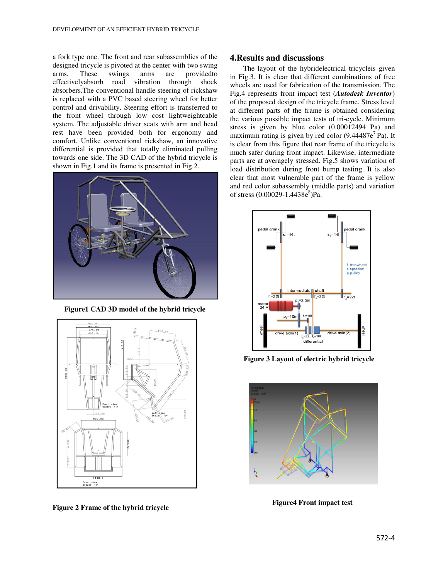a fork type one. The front and rear subassemblies of the designed tricycle is pivoted at the center with two swing arms. These swings arms are providedto effectivelyabsorb road vibration through shock absorbers.The conventional handle steering of rickshaw is replaced with a PVC based steering wheel for better control and drivability. Steering effort is transferred to the front wheel through low cost lightweightcable system. The adjustable driver seats with arm and head rest have been provided both for ergonomy and comfort. Unlike conventional rickshaw, an innovative differential is provided that totally eliminated pulling towards one side. The 3D CAD of the hybrid tricycle is shown in Fig.1 and its frame is presented in Fig.2.



**Figure1 CAD 3D model of the hybrid tricycle** 



**Figure 2 Frame of the hybrid tricycle** 

#### **4.Results and discussions**

The layout of the hybridelectrical tricycleis given in Fig.3. It is clear that different combinations of free wheels are used for fabrication of the transmission. The Fig.4 represents front impact test (*Autodesk Inventor*) of the proposed design of the tricycle frame. Stress level at different parts of the frame is obtained considering the various possible impact tests of tri-cycle. Minimum stress is given by blue color (0.00012494 Pa) and maximum rating is given by red color  $(9.44487e^7Pa)$ . It is clear from this figure that rear frame of the tricycle is much safer during front impact. Likewise, intermediate parts are at averagely stressed. Fig.5 shows variation of load distribution during front bump testing. It is also clear that most vulnerable part of the frame is yellow and red color subassembly (middle parts) and variation of stress (0.00029-1.4438e<sup>8</sup>)Pa.



**Figure 3 Layout of electric hybrid tricycle** 



**Figure4 Front impact test**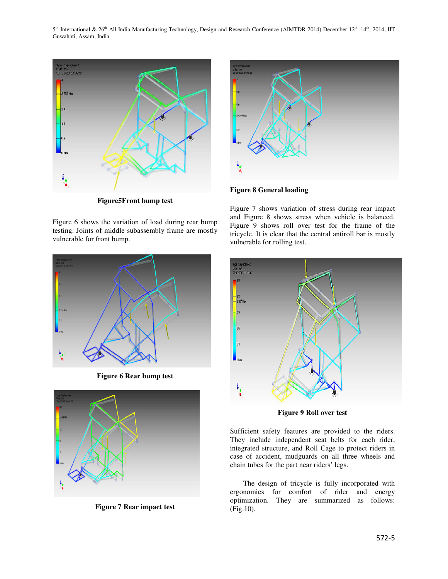5<sup>th</sup> International & 26<sup>th</sup> All India Manufacturing Technology, Design and Research Conference (AIMTDR 2014) December 12<sup>th</sup>–14<sup>th</sup>, 2014, IIT Guwahati, Assam, India



**Figure5Front bump test** 

Figure 6 shows the variation of load during rear bump testing. Joints of middle subassembly frame are mostly vulnerable for front bump.



**Figure 6 Rear bump test** 



**Figure 7 Rear impact test** 



Figure 7 shows variation of stress during rear impact and Figure 8 shows stress when vehicle is balanced. Figure 9 shows roll over test for the frame of the tricycle. It is clear that the central antiroll bar is mostly vulnerable for rolling test.



**Figure 9 Roll over test** 

Sufficient safety features are provided to the riders. They include independent seat belts for each rider, integrated structure, and Roll Cage to protect riders in case of accident, mudguards on all three wheels and chain tubes for the part near riders' legs.

The design of tricycle is fully incorporated with ergonomics for comfort of rider and energy optimization. They are summarized as follows: (Fig.10).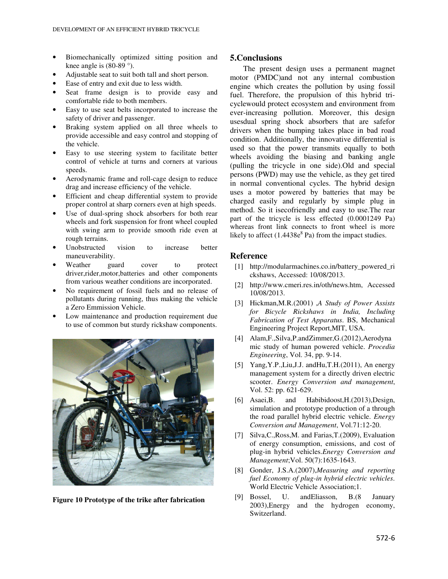- Biomechanically optimized sitting position and knee angle is  $(80-89)$ °.
- Adjustable seat to suit both tall and short person.
- Ease of entry and exit due to less width.
- Seat frame design is to provide easy and comfortable ride to both members.
- Easy to use seat belts incorporated to increase the safety of driver and passenger.
- Braking system applied on all three wheels to provide accessible and easy control and stopping of the vehicle.
- Easy to use steering system to facilitate better control of vehicle at turns and corners at various speeds.
- Aerodynamic frame and roll-cage design to reduce drag and increase efficiency of the vehicle.
- Efficient and cheap differential system to provide proper control at sharp corners even at high speeds.
- Use of dual-spring shock absorbers for both rear wheels and fork suspension for front wheel coupled with swing arm to provide smooth ride even at rough terrains.
- Unobstructed vision to increase better maneuverability.
- Weather guard cover to protect driver, rider, motor, batteries and other components from various weather conditions are incorporated.
- No requirement of fossil fuels and no release of pollutants during running, thus making the vehicle a Zero Emmission Vehicle.
- Low maintenance and production requirement due to use of common but sturdy rickshaw components.



**Figure 10 Prototype of the trike after fabrication** 

## **5.Conclusions**

The present design uses a permanent magnet motor (PMDC)and not any internal combustion engine which creates the pollution by using fossil fuel. Therefore, the propulsion of this hybrid tricyclewould protect ecosystem and environment from ever-increasing pollution. Moreover, this design usesdual spring shock absorbers that are safefor drivers when the bumping takes place in bad road condition. Additionally, the innovative differential is used so that the power transmits equally to both wheels avoiding the biasing and banking angle (pulling the tricycle in one side).Old and special persons (PWD) may use the vehicle, as they get tired in normal conventional cycles. The hybrid design uses a motor powered by batteries that may be charged easily and regularly by simple plug in method. So it isecofriendly and easy to use.The rear part of the tricycle is less effected (0.0001249 Pa) whereas front link connects to front wheel is more likely to affect  $(1.4438e^8 \text{ Pa})$  from the impact studies.

## **Reference**

- [1] http://modularmachines.co.in/battery\_powered\_ri ckshaws, Accessed: 10/08/2013.
- [2] http://www.cmeri.res.in/oth/news.htm, Accessed 10/08/2013.
- [3] Hickman,M.R.(2001) ,*A Study of Power Assists for Bicycle Rickshaws in India, Including Fabrication of Test Apparatus*. BS, Mechanical Engineering Project Report,MIT, USA.
- [4] Alam,F.,Silva,P.andZimmer,G.(2012),Aerodyna mic study of human powered vehicle. *Procedia Engineering*, Vol. 34, pp. 9-14.
- [5] Yang, Y.P.,Liu, J.J. and Hu, T.H. (2011), An energy management system for a directly driven electric scooter. *Energy Conversion and management*, Vol. 52: pp. 621-629.
- [6] Asaei,B. and Habibidoost,H.(2013),Design, simulation and prototype production of a through the road parallel hybrid electric vehicle. *Energy Conversion and Management*, Vol.71:12-20.
- [7] Silva,C.,Ross,M. and Farias,T.(2009), Evaluation of energy consumption, emissions, and cost of plug-in hybrid vehicles.*Energy Conversion and Management*;Vol. 50(7):1635-1643.
- [8] Gonder, J.S.A.(2007),*Measuring and reporting fuel Economy of plug-in hybrid electric vehicles*. World Electric Vehicle Association;1.
- [9] Bossel, U. andEliasson, B.(8 January 2003),Energy and the hydrogen economy, Switzerland.